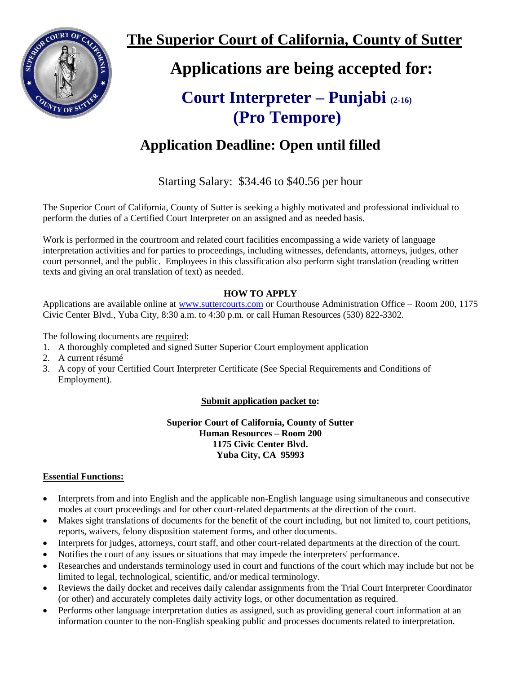

**The Superior Court of California, County of Sutter**

 **Applications are being accepted for:**

# **Court Interpreter – Punjabi (2-16) (Pro Tempore)**

# **Application Deadline: Open until filled**

Starting Salary: \$34.46 to \$40.56 per hour

The Superior Court of California, County of Sutter is seeking a highly motivated and professional individual to perform the duties of a Certified Court Interpreter on an assigned and as needed basis.

Work is performed in the courtroom and related court facilities encompassing a wide variety of language interpretation activities and for parties to proceedings, including witnesses, defendants, attorneys, judges, other court personnel, and the public. Employees in this classification also perform sight translation (reading written texts and giving an oral translation of text) as needed.

## **HOW TO APPLY**

Applications are available online at [www.suttercourts.com](http://www.suttercourts.com/) or Courthouse Administration Office – Room 200, 1175 Civic Center Blvd., Yuba City, 8:30 a.m. to 4:30 p.m. or call Human Resources (530) 822-3302.

The following documents are required:

- 1. A thoroughly completed and signed Sutter Superior Court employment application
- 2. A current résumé
- 3. A copy of your Certified Court Interpreter Certificate (See Special Requirements and Conditions of Employment).

## **Submit application packet to:**

**Superior Court of California, County of Sutter Human Resources – Room 200 1175 Civic Center Blvd. Yuba City, CA 95993**

#### **Essential Functions:**

- Interprets from and into English and the applicable non-English language using simultaneous and consecutive modes at court proceedings and for other court-related departments at the direction of the court.
- Makes sight translations of documents for the benefit of the court including, but not limited to, court petitions, reports, waivers, felony disposition statement forms, and other documents.
- Interprets for judges, attorneys, court staff, and other court-related departments at the direction of the court.
- Notifies the court of any issues or situations that may impede the interpreters' performance.
- Researches and understands terminology used in court and functions of the court which may include but not be limited to legal, technological, scientific, and/or medical terminology.
- Reviews the daily docket and receives daily calendar assignments from the Trial Court Interpreter Coordinator (or other) and accurately completes daily activity logs, or other documentation as required.
- Performs other language interpretation duties as assigned, such as providing general court information at an information counter to the non-English speaking public and processes documents related to interpretation.